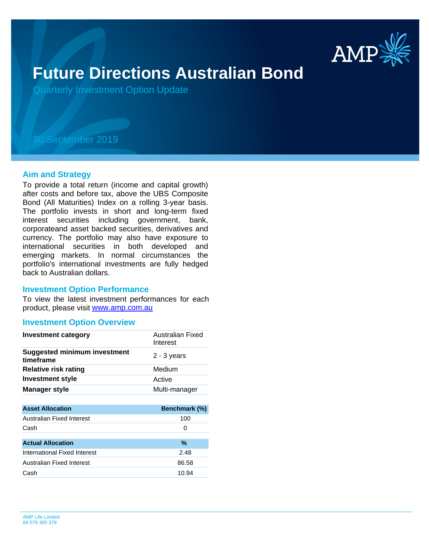

# **Future Directions Australian Bond**

Quarterly Investment Option Update

## 30 September 2019

#### **Aim and Strategy**

To provide a total return (income and capital growth) after costs and before tax, above the UBS Composite Bond (All Maturities) Index on a rolling 3-year basis. The portfolio invests in short and long-term fixed interest securities including government, bank, corporateand asset backed securities, derivatives and currency. The portfolio may also have exposure to international securities in both developed and emerging markets. In normal circumstances the portfolio's international investments are fully hedged back to Australian dollars.

#### **Investment Option Performance**

product, please visit [www.amp.com.au](https://www.amp.com.au) To view the latest investment performances for each

#### **Investment Option Overview**

| <b>Investment category</b>                       | Australian Fixed<br>Interest |
|--------------------------------------------------|------------------------------|
| <b>Suggested minimum investment</b><br>timeframe | $2 - 3$ years                |
| <b>Relative risk rating</b>                      | Medium                       |
| <b>Investment style</b>                          | Active                       |
| <b>Manager style</b>                             | Multi-manager                |
|                                                  |                              |
| <b>Asset Allocation</b>                          | Benchmark (%)                |
| Australian Fixed Interest                        | 100                          |
| Cash                                             | 0                            |
|                                                  |                              |
| <b>Actual Allocation</b>                         | %                            |
| International Fixed Interest                     | 2.48                         |
|                                                  |                              |
| Australian Fixed Interest                        | 86.58                        |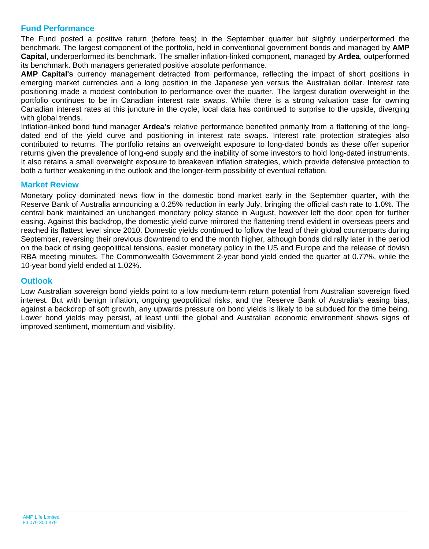### **Fund Performance**

The Fund posted a positive return (before fees) in the September quarter but slightly underperformed the benchmark. The largest component of the portfolio, held in conventional government bonds and managed by **AMP Capital**, underperformed its benchmark. The smaller inflation-linked component, managed by **Ardea**, outperformed its benchmark. Both managers generated positive absolute performance.

**AMP Capital's** currency management detracted from performance, reflecting the impact of short positions in emerging market currencies and a long position in the Japanese yen versus the Australian dollar. Interest rate positioning made a modest contribution to performance over the quarter. The largest duration overweight in the portfolio continues to be in Canadian interest rate swaps. While there is a strong valuation case for owning Canadian interest rates at this juncture in the cycle, local data has continued to surprise to the upside, diverging with global trends.

Inflation-linked bond fund manager **Ardea's** relative performance benefited primarily from a flattening of the longdated end of the yield curve and positioning in interest rate swaps. Interest rate protection strategies also contributed to returns. The portfolio retains an overweight exposure to long-dated bonds as these offer superior returns given the prevalence of long-end supply and the inability of some investors to hold long-dated instruments. It also retains a small overweight exposure to breakeven inflation strategies, which provide defensive protection to both a further weakening in the outlook and the longer-term possibility of eventual reflation.

#### **Market Review**

Monetary policy dominated news flow in the domestic bond market early in the September quarter, with the Reserve Bank of Australia announcing a 0.25% reduction in early July, bringing the official cash rate to 1.0%. The central bank maintained an unchanged monetary policy stance in August, however left the door open for further easing. Against this backdrop, the domestic yield curve mirrored the flattening trend evident in overseas peers and reached its flattest level since 2010. Domestic yields continued to follow the lead of their global counterparts during September, reversing their previous downtrend to end the month higher, although bonds did rally later in the period on the back of rising geopolitical tensions, easier monetary policy in the US and Europe and the release of dovish RBA meeting minutes. The Commonwealth Government 2-year bond yield ended the quarter at 0.77%, while the 10-year bond yield ended at 1.02%.

#### **Outlook**

Low Australian sovereign bond yields point to a low medium-term return potential from Australian sovereign fixed interest. But with benign inflation, ongoing geopolitical risks, and the Reserve Bank of Australia's easing bias, against a backdrop of soft growth, any upwards pressure on bond yields is likely to be subdued for the time being. Lower bond yields may persist, at least until the global and Australian economic environment shows signs of improved sentiment, momentum and visibility.